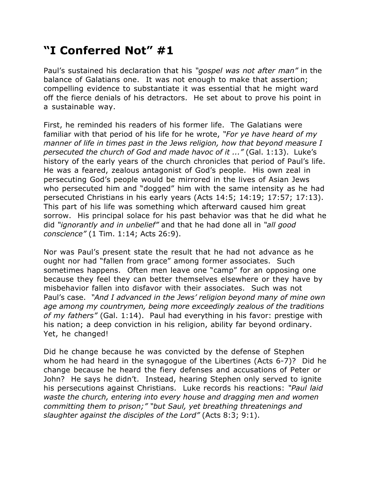## **"I Conferred Not" #1**

Paul's sustained his declaration that his *"gospel was not after man"* in the balance of Galatians one. It was not enough to make that assertion; compelling evidence to substantiate it was essential that he might ward off the fierce denials of his detractors. He set about to prove his point in a sustainable way.

First, he reminded his readers of his former life. The Galatians were familiar with that period of his life for he wrote, *"For ye have heard of my manner of life in times past in the Jews religion, how that beyond measure I persecuted the church of God and made havoc of it ..."* (Gal. 1:13). Luke's history of the early years of the church chronicles that period of Paul's life. He was a feared, zealous antagonist of God's people. His own zeal in persecuting God's people would be mirrored in the lives of Asian Jews who persecuted him and "dogged" him with the same intensity as he had persecuted Christians in his early years (Acts 14:5; 14:19; 17:57; 17:13). This part of his life was something which afterward caused him great sorrow. His principal solace for his past behavior was that he did what he did *"ignorantly and in unbelief"* and that he had done all in *"all good conscience"* (1 Tim. 1:14; Acts 26:9).

Nor was Paul's present state the result that he had not advance as he ought nor had "fallen from grace" among former associates. Such sometimes happens. Often men leave one "camp" for an opposing one because they feel they can better themselves elsewhere or they have by misbehavior fallen into disfavor with their associates. Such was not Paul's case. *"And I advanced in the Jews' religion beyond many of mine own age among my countrymen, being more exceedingly zealous of the traditions of my fathers"* (Gal. 1:14). Paul had everything in his favor: prestige with his nation; a deep conviction in his religion, ability far beyond ordinary. Yet, he changed!

Did he change because he was convicted by the defense of Stephen whom he had heard in the synagogue of the Libertines (Acts 6-7)? Did he change because he heard the fiery defenses and accusations of Peter or John? He says he didn't. Instead, hearing Stephen only served to ignite his persecutions against Christians. Luke records his reactions: *"Paul laid waste the church, entering into every house and dragging men and women committing them to prison;" "but Saul, yet breathing threatenings and slaughter against the disciples of the Lord"* (Acts 8:3; 9:1).